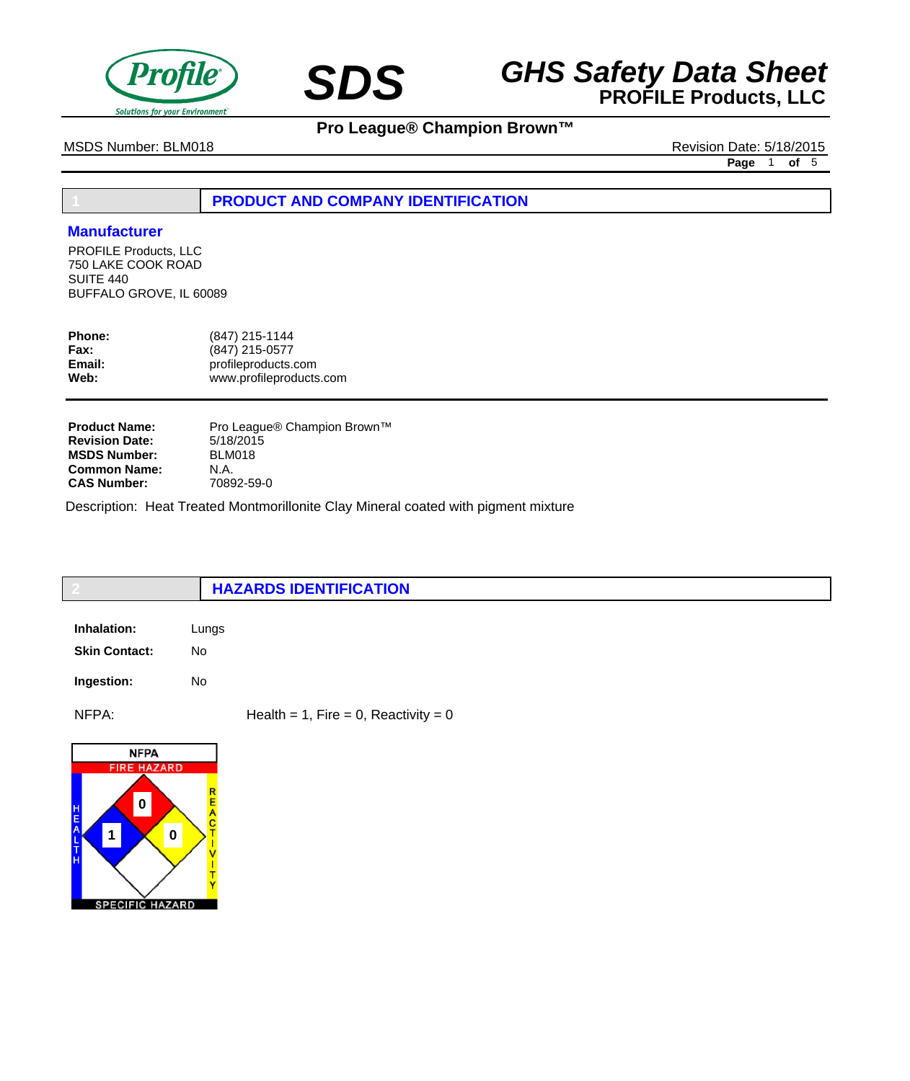



**Pro League® Champion Brown™**

MSDS Number: BLM018 Revision Date: 5/18/2015

**Page** 1 **of** 5

**1 PRODUCT AND COMPANY IDENTIFICATION**

### **Manufacturer**

PROFILE Products, LLC 750 LAKE COOK ROAD SUITE 440 BUFFALO GROVE, IL 60089

| <b>Phone:</b><br>Fax: | (847) 215-1144<br>(847) 215-0577 |
|-----------------------|----------------------------------|
| Email:                | profileproducts.com              |
| Web:                  | www.profileproducts.com          |
|                       |                                  |

| <b>Product Name:</b>  | Pro League® Champion Brown™ |
|-----------------------|-----------------------------|
| <b>Revision Date:</b> | 5/18/2015                   |
| <b>MSDS Number:</b>   | BLM018                      |
| <b>Common Name:</b>   | N.A.                        |
| <b>CAS Number:</b>    | 70892-59-0                  |

Description: Heat Treated Montmorillonite Clay Mineral coated with pigment mixture

|                      | <b>HAZARDS IDENTIFICATION</b>          |
|----------------------|----------------------------------------|
| Inhalation:          | Lungs                                  |
| <b>Skin Contact:</b> | No                                     |
| Ingestion:           | No                                     |
| NFPA:                | Health = 1, Fire = 0, Reactivity = $0$ |
| <b>NFPA</b>          |                                        |

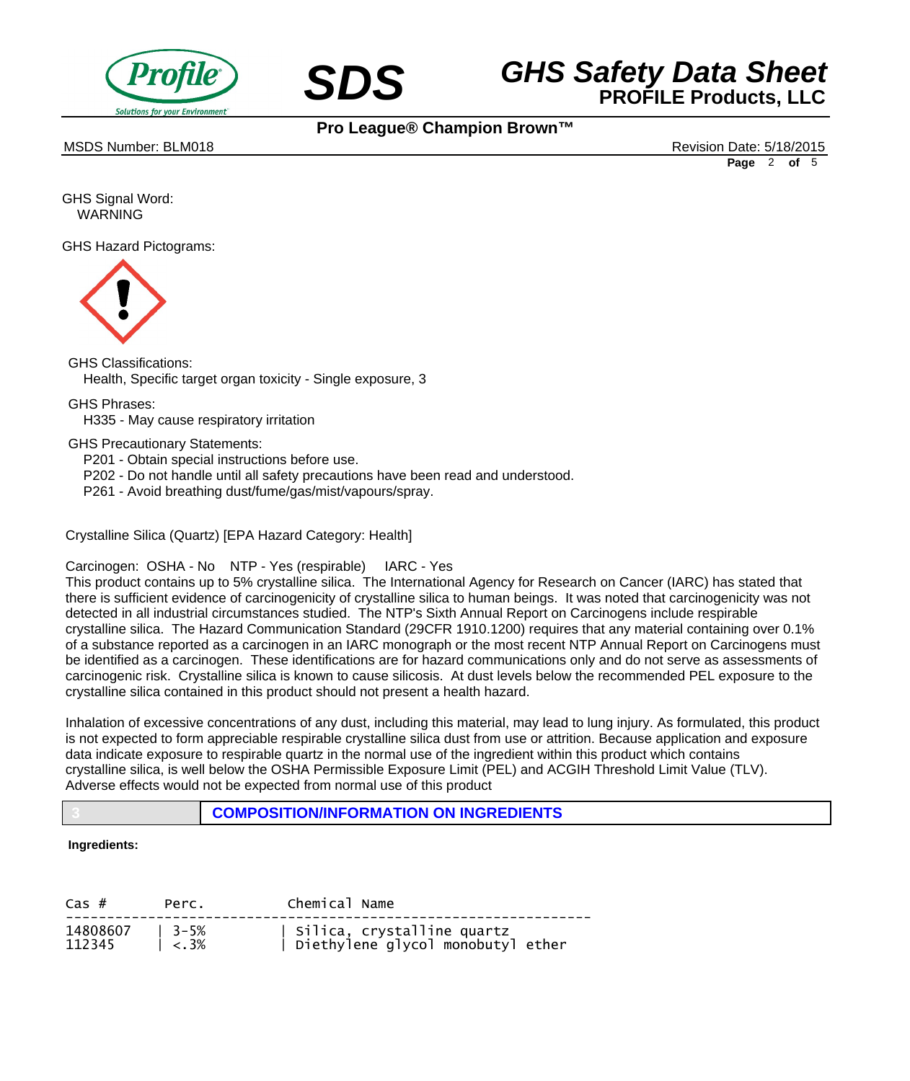



MSDS Number: BLM018 Revision Date: 5/18/2015

**Pro League® Champion Brown™**

**Page** 2 **of** 5

GHS Signal Word: WARNING

GHS Hazard Pictograms:



GHS Classifications: Health, Specific target organ toxicity - Single exposure, 3

GHS Phrases:

 H335 - May cause respiratory irritation

GHS Precautionary Statements:

 P201 - Obtain special instructions before use.

- P202 Do not handle until all safety precautions have been read and understood.
- P261 Avoid breathing dust/fume/gas/mist/vapours/spray.

Crystalline Silica (Quartz) [EPA Hazard Category: Health]

Carcinogen: OSHA - No NTP - Yes (respirable) IARC - Yes

This product contains up to 5% crystalline silica. The International Agency for Research on Cancer (IARC) has stated that there is sufficient evidence of carcinogenicity of crystalline silica to human beings. It was noted that carcinogenicity was not detected in all industrial circumstances studied. The NTP's Sixth Annual Report on Carcinogens include respirable crystalline silica. The Hazard Communication Standard (29CFR 1910.1200) requires that any material containing over 0.1% of a substance reported as a carcinogen in an IARC monograph or the most recent NTP Annual Report on Carcinogens must be identified as a carcinogen. These identifications are for hazard communications only and do not serve as assessments of carcinogenic risk. Crystalline silica is known to cause silicosis. At dust levels below the recommended PEL exposure to the crystalline silica contained in this product should not present a health hazard.

Inhalation of excessive concentrations of any dust, including this material, may lead to lung injury. As formulated, this product is not expected to form appreciable respirable crystalline silica dust from use or attrition. Because application and exposure data indicate exposure to respirable quartz in the normal use of the ingredient within this product which contains crystalline silica, is well below the OSHA Permissible Exposure Limit (PEL) and ACGIH Threshold Limit Value (TLV). Adverse effects would not be expected from normal use of this product

## **3 COMPOSITION/INFORMATION ON INGREDIENTS**

### **Ingredients:**

| $\text{Cas }#$            | Perc.                       | Chemical Name                                                     |
|---------------------------|-----------------------------|-------------------------------------------------------------------|
| 14808607   3-5%<br>112345 | $\frac{1}{5}$ $\frac{3}{8}$ | Silica, crystalline quartz<br>  Diethylene glycol monobutyl ether |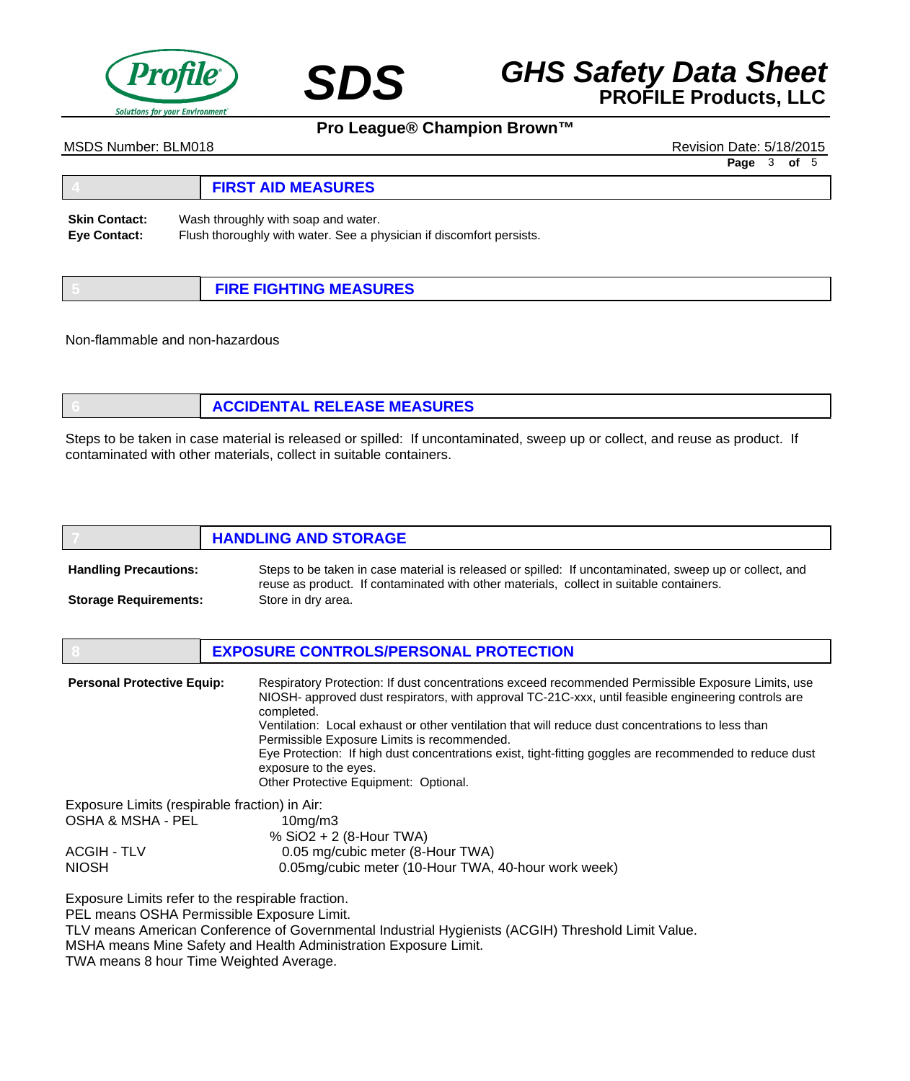

# **SDS GHS Safety Data Sheet**<br>**PROFILE Products, LLC**

# **Pro League® Champion Brown™**

MSDS Number: BLM018 Revision Date: 5/18/2015

**Page** 3 **of** 5

#### **4 FIRST AID MEASURES** Wash throughly with soap and water. Flush thoroughly with water. See a physician if discomfort persists. **Skin Contact: Eye Contact:**

| <b>FIRE FIGHTING MEASURES</b> |
|-------------------------------|

Non-flammable and non-hazardous

| <b>ACCIDENTAL RELEASE MEASURES</b> |
|------------------------------------|
|                                    |

Steps to be taken in case material is released or spilled: If uncontaminated, sweep up or collect, and reuse as product. If contaminated with other materials, collect in suitable containers.

|                              | <b>HANDLING AND STORAGE</b>                                                                                                                                                                       |
|------------------------------|---------------------------------------------------------------------------------------------------------------------------------------------------------------------------------------------------|
| <b>Handling Precautions:</b> | Steps to be taken in case material is released or spilled: If uncontaminated, sweep up or collect, and<br>reuse as product. If contaminated with other materials, collect in suitable containers. |
| <b>Storage Requirements:</b> | Store in dry area.                                                                                                                                                                                |

|                                               | <b>EXPOSURE CONTROLS/PERSONAL PROTECTION</b>                                                                                                                                                                                                                                                                                                                                                                                                                                                                                                             |
|-----------------------------------------------|----------------------------------------------------------------------------------------------------------------------------------------------------------------------------------------------------------------------------------------------------------------------------------------------------------------------------------------------------------------------------------------------------------------------------------------------------------------------------------------------------------------------------------------------------------|
| <b>Personal Protective Equip:</b>             | Respiratory Protection: If dust concentrations exceed recommended Permissible Exposure Limits, use<br>NIOSH- approved dust respirators, with approval TC-21C-xxx, until feasible engineering controls are<br>completed.<br>Ventilation: Local exhaust or other ventilation that will reduce dust concentrations to less than<br>Permissible Exposure Limits is recommended.<br>Eye Protection: If high dust concentrations exist, tight-fitting goggles are recommended to reduce dust<br>exposure to the eyes.<br>Other Protective Equipment: Optional. |
| Exposure Limits (respirable fraction) in Air: |                                                                                                                                                                                                                                                                                                                                                                                                                                                                                                                                                          |
| OSHA & MSHA - PEL                             | $10mq$ /m $3$                                                                                                                                                                                                                                                                                                                                                                                                                                                                                                                                            |
|                                               | % $SiO2 + 2$ (8-Hour TWA)                                                                                                                                                                                                                                                                                                                                                                                                                                                                                                                                |
| <b>ACGIH - TLV</b>                            | 0.05 mg/cubic meter (8-Hour TWA)                                                                                                                                                                                                                                                                                                                                                                                                                                                                                                                         |
| <b>NIOSH</b>                                  | 0.05mg/cubic meter (10-Hour TWA, 40-hour work week)                                                                                                                                                                                                                                                                                                                                                                                                                                                                                                      |

Exposure Limits refer to the respirable fraction.

PEL means OSHA Permissible Exposure Limit.

TLV means American Conference of Governmental Industrial Hygienists (ACGIH) Threshold Limit Value.

MSHA means Mine Safety and Health Administration Exposure Limit.

TWA means 8 hour Time Weighted Average.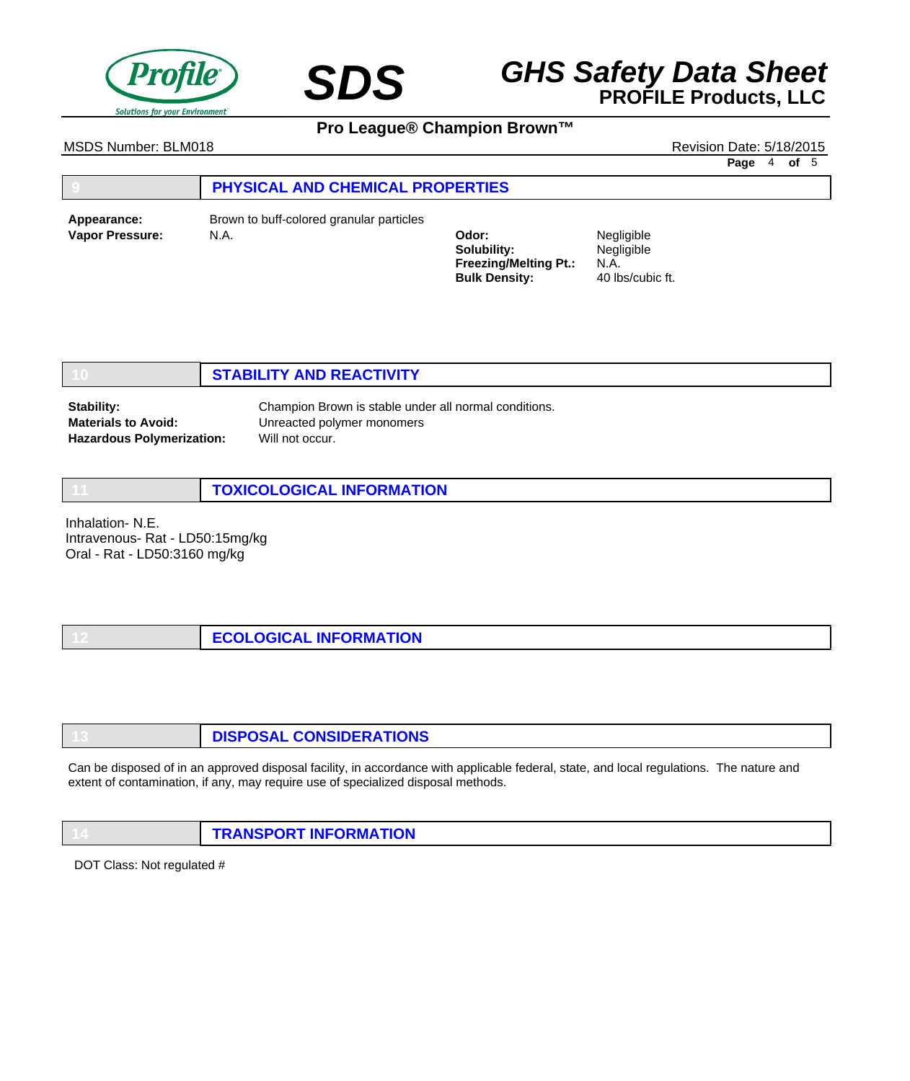

# **SDS GHS Safety Data Sheet**<br>**PROFILE Products, LLC**

**Pro League® Champion Brown™**

MSDS Number: BLM018 Revision Date: 5/18/2015

**Page** 4 **of** 5

# **9 PHYSICAL AND CHEMICAL PROPERTIES**

**Vapor Pressure:** N.A. **Odor: Appearance:** Brown to buff-colored granular particles

**Solubility: Freezing/Melting Pt.: Bulk Density:**

Negligible Negligible N.A. 40 lbs/cubic ft.

# **10 STABILITY AND REACTIVITY**

**Stability: Materials to Avoid: Hazardous Polymerization:** Champion Brown is stable under all normal conditions. Unreacted polymer monomers Will not occur.

**11 TOXICOLOGICAL INFORMATION**

Inhalation- N.E. Intravenous- Rat - LD50:15mg/kg Oral - Rat - LD50:3160 mg/kg

| <b>ECOLOGICAL INFORMATION</b> |  |
|-------------------------------|--|
|-------------------------------|--|

| <b>DISPOSAL CONSIDERATIONS</b> |
|--------------------------------|
|                                |

Can be disposed of in an approved disposal facility, in accordance with applicable federal, state, and local regulations. The nature and extent of contamination, if any, may require use of specialized disposal methods.

**14 TRANSPORT INFORMATION**

DOT Class: Not regulated #